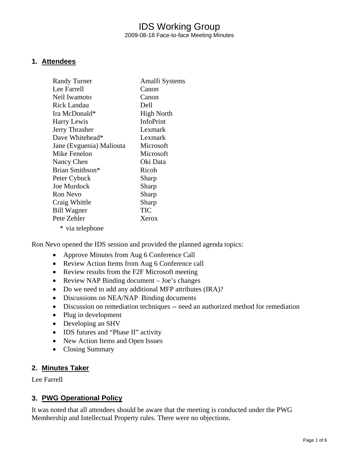## IDS Working Group 2009-08-18 Face-to-face Meeting Minutes

#### **1. Attendees**

| <b>Randy Turner</b>      | Amalfi Systems    |
|--------------------------|-------------------|
| Lee Farrell              | Canon             |
| Neil Iwamoto             | Canon             |
| <b>Rick Landau</b>       | Dell              |
| Ira McDonald*            | <b>High North</b> |
| Harry Lewis              | <b>InfoPrint</b>  |
| Jerry Thrasher           | Lexmark           |
| Dave Whitehead*          | Lexmark           |
| Jane (Evguenia) Maliouta | Microsoft         |
| Mike Fenelon             | Microsoft         |
| Nancy Chen               | Oki Data          |
| Brian Smithson*          | Ricoh             |
| Peter Cybuck             | Sharp             |
| Joe Murdock              | Sharp             |
| <b>Ron Nevo</b>          | Sharp             |
| Craig Whittle            | Sharp             |
| Bill Wagner              | TIC               |
| Pete Zehler              | Xerox             |
| * via telephone          |                   |

Ron Nevo opened the IDS session and provided the planned agenda topics:

- Approve Minutes from Aug 6 Conference Call
- Review Action Items from Aug 6 Conference call
- Review results from the F2F Microsoft meeting
- Review NAP Binding document Joe's changes
- Do we need to add any additional MFP attributes (IRA)?
- Discussions on NEA/NAP Binding documents
- Discussion on remediation techniques -- need an authorized method for remediation
- Plug in development
- Developing an SHV
- IDS futures and "Phase II" activity
- New Action Items and Open Issues
- Closing Summary

#### **2. Minutes Taker**

Lee Farrell

### **3. PWG Operational Policy**

It was noted that all attendees should be aware that the meeting is conducted under the PWG Membership and Intellectual Property rules. There were no objections.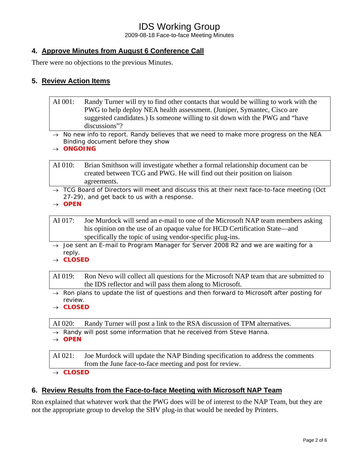2009-08-18 Face-to-face Meeting Minutes

## **4. Approve Minutes from August 6 Conference Call**

There were no objections to the previous Minutes.

#### **5. Review Action Items**

- AI 001: Randy Turner will try to find other contacts that would be willing to work with the PWG to help deploy NEA health assessment. (Juniper, Symantec, Cisco are suggested candidates.) Is someone willing to sit down with the PWG and "have discussions"?
- → *No new info to report. Randy believes that we need to make more progress on the NEA Binding document before they show*
- → *ONGOING*

AI 010: Brian Smithson will investigate whether a formal relationship document can be created between TCG and PWG. He will find out their position on liaison agreements.

→ *TCG Board of Directors will meet and discuss this at their next face-to-face meeting (Oct 27-29), and get back to us with a response.* 

→ *OPEN* 

AI 017: Joe Murdock will send an e-mail to one of the Microsoft NAP team members asking his opinion on the use of an opaque value for HCD Certification State—and specifically the topic of using vendor-specific plug-ins.

- → *Joe sent an E-mail to Program Manager for Server 2008 R2 and we are waiting for a reply.*
- → *CLOSED*

AI 019: Ron Nevo will collect all questions for the Microsoft NAP team that are submitted to the IDS reflector and will pass them along to Microsoft.

- → *Ron plans to update the list of questions and then forward to Microsoft after posting for review.*
- → *CLOSED*

AI 020: Randy Turner will post a link to the RSA discussion of TPM alternatives.

- → *Randy will post some information that he received from Steve Hanna.*
- → *OPEN*

AI 021: Joe Murdock will update the NAP Binding specification to address the comments from the June face-to-face meeting and post for review. → *CLOSED* 

#### **6. Review Results from the Face-to-face Meeting with Microsoft NAP Team**

Ron explained that whatever work that the PWG does will be of interest to the NAP Team, but they are not the appropriate group to develop the SHV plug-in that would be needed by Printers.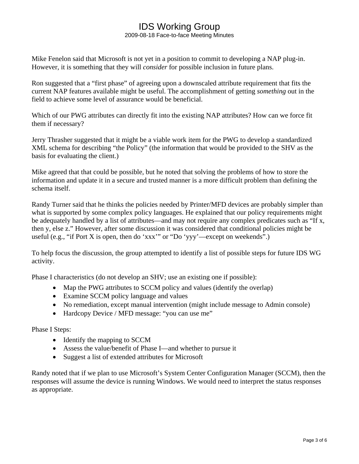2009-08-18 Face-to-face Meeting Minutes

Mike Fenelon said that Microsoft is not yet in a position to commit to developing a NAP plug-in. However, it is something that they will *consider* for possible inclusion in future plans.

Ron suggested that a "first phase" of agreeing upon a downscaled attribute requirement that fits the current NAP features available might be useful. The accomplishment of getting *something* out in the field to achieve some level of assurance would be beneficial.

Which of our PWG attributes can directly fit into the existing NAP attributes? How can we force fit them if necessary?

Jerry Thrasher suggested that it might be a viable work item for the PWG to develop a standardized XML schema for describing "the Policy" (the information that would be provided to the SHV as the basis for evaluating the client.)

Mike agreed that that could be possible, but he noted that solving the problems of how to store the information and update it in a secure and trusted manner is a more difficult problem than defining the schema itself.

Randy Turner said that he thinks the policies needed by Printer/MFD devices are probably simpler than what is supported by some complex policy languages. He explained that our policy requirements might be adequately handled by a list of attributes—and may not require any complex predicates such as "If x, then y, else z." However, after some discussion it was considered that conditional policies might be useful (e.g., "if Port X is open, then do 'xxx'" or "Do 'yyy'—except on weekends".)

To help focus the discussion, the group attempted to identify a list of possible steps for future IDS WG activity.

Phase I characteristics (do not develop an SHV; use an existing one if possible):

- Map the PWG attributes to SCCM policy and values (identify the overlap)
- Examine SCCM policy language and values
- No remediation, except manual intervention (might include message to Admin console)
- Hardcopy Device / MFD message: "you can use me"

Phase I Steps:

- Identify the mapping to SCCM
- Assess the value/benefit of Phase I—and whether to pursue it
- Suggest a list of extended attributes for Microsoft

Randy noted that if we plan to use Microsoft's System Center Configuration Manager (SCCM), then the responses will assume the device is running Windows. We would need to interpret the status responses as appropriate.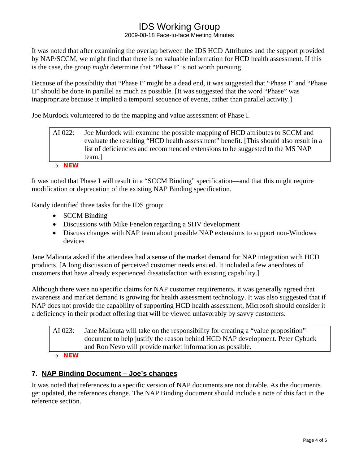2009-08-18 Face-to-face Meeting Minutes

It was noted that after examining the overlap between the IDS HCD Attributes and the support provided by NAP/SCCM, we might find that there is no valuable information for HCD health assessment. If this is the case, the group *might* determine that "Phase I" is not worth pursuing.

Because of the possibility that "Phase I" might be a dead end, it was suggested that "Phase I" and "Phase II" should be done in parallel as much as possible. [It was suggested that the word "Phase" was inappropriate because it implied a temporal sequence of events, rather than parallel activity.]

Joe Murdock volunteered to do the mapping and value assessment of Phase I.

AI 022: Joe Murdock will examine the possible mapping of HCD attributes to SCCM and evaluate the resulting "HCD health assessment" benefit. [This should also result in a list of deficiencies and recommended extensions to be suggested to the MS NAP team.]

#### → *NEW*

It was noted that Phase I will result in a "SCCM Binding" specification—and that this might require modification or deprecation of the existing NAP Binding specification.

Randy identified three tasks for the IDS group:

- **SCCM Binding**
- Discussions with Mike Fenelon regarding a SHV development
- Discuss changes with NAP team about possible NAP extensions to support non-Windows devices

Jane Maliouta asked if the attendees had a sense of the market demand for NAP integration with HCD products. [A long discussion of perceived customer needs ensued. It included a few anecdotes of customers that have already experienced dissatisfaction with existing capability.]

Although there were no specific claims for NAP customer requirements, it was generally agreed that awareness and market demand is growing for health assessment technology. It was also suggested that if NAP does not provide the capability of supporting HCD health assessment, Microsoft should consider it a deficiency in their product offering that will be viewed unfavorably by savvy customers.

AI 023: Jane Maliouta will take on the responsibility for creating a "value proposition" document to help justify the reason behind HCD NAP development. Peter Cybuck and Ron Nevo will provide market information as possible.

→ *NEW* 

## **7. NAP Binding Document – Joe's changes**

It was noted that references to a specific version of NAP documents are not durable. As the documents get updated, the references change. The NAP Binding document should include a note of this fact in the reference section.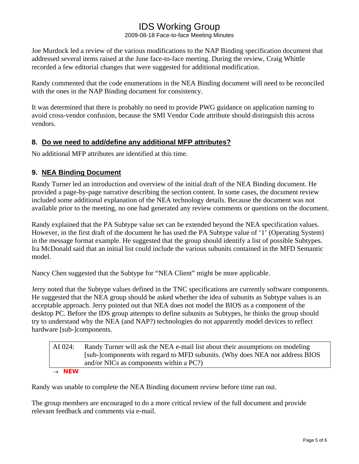2009-08-18 Face-to-face Meeting Minutes

Joe Murdock led a review of the various modifications to the NAP Binding specification document that addressed several items raised at the June face-to-face meeting. During the review, Craig Whittle recorded a few editorial changes that were suggested for additional modification.

Randy commented that the code enumerations in the NEA Binding document will need to be reconciled with the ones in the NAP Binding document for consistency.

It was determined that there is probably no need to provide PWG guidance on application naming to avoid cross-vendor confusion, because the SMI Vendor Code attribute should distinguish this across vendors.

## **8. Do we need to add/define any additional MFP attributes?**

No additional MFP attributes are identified at this time.

## **9. NEA Binding Document**

Randy Turner led an introduction and overview of the initial draft of the NEA Binding document. He provided a page-by-page narrative describing the section content. In some cases, the document review included some additional explanation of the NEA technology details. Because the document was not available prior to the meeting, no one had generated any review comments or questions on the document.

Randy explained that the PA Subtype value set can be extended beyond the NEA specification values. However, in the first draft of the document he has used the PA Subtype value of '1' (Operating System) in the message format example. He suggested that the group should identify a list of possible Subtypes. Ira McDonald said that an initial list could include the various subunits contained in the MFD Semantic model.

Nancy Chen suggested that the Subtype for "NEA Client" might be more applicable.

Jerry noted that the Subtype values defined in the TNC specifications are currently software components. He suggested that the NEA group should be asked whether the idea of subunits as Subtype values is an acceptable approach. Jerry pointed out that NEA does not model the BIOS as a component of the desktop PC. Before the IDS group attempts to define subunits as Subtypes, he thinks the group should try to understand why the NEA (and NAP?) technologies do not apparently model devices to reflect hardware [sub-]components.

| AI 024:           | Randy Turner will ask the NEA e-mail list about their assumptions on modeling<br>[sub-]components with regard to MFD subunits. (Why does NEA not address BIOS<br>and/or NICs as components within a $PC$ ?) |
|-------------------|-------------------------------------------------------------------------------------------------------------------------------------------------------------------------------------------------------------|
| $\rightarrow$ NFW |                                                                                                                                                                                                             |

Randy was unable to complete the NEA Binding document review before time ran out.

The group members are encouraged to do a more critical review of the full document and provide relevant feedback and comments via e-mail.